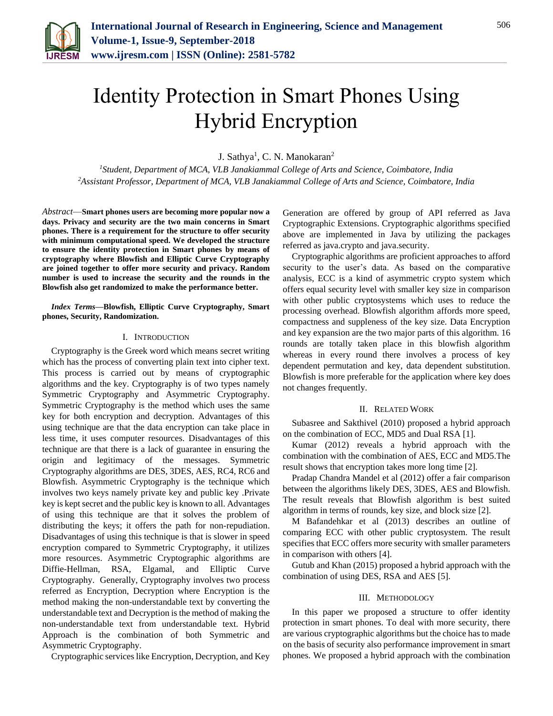

# Identity Protection in Smart Phones Using Hybrid Encryption

J. Sathya<sup>1</sup>, C. N. Manokaran<sup>2</sup>

*<sup>1</sup>Student, Department of MCA, VLB Janakiammal College of Arts and Science, Coimbatore, India <sup>2</sup>Assistant Professor, Department of MCA, VLB Janakiammal College of Arts and Science, Coimbatore, India*

*Abstract*—**Smart phones users are becoming more popular now a days. Privacy and security are the two main concerns in Smart phones. There is a requirement for the structure to offer security with minimum computational speed. We developed the structure to ensure the identity protection in Smart phones by means of cryptography where Blowfish and Elliptic Curve Cryptography are joined together to offer more security and privacy. Random number is used to increase the security and the rounds in the Blowfish also get randomized to make the performance better.**

*Index Terms***—Blowfish, Elliptic Curve Cryptography, Smart phones, Security, Randomization.**

## I. INTRODUCTION

Cryptography is the Greek word which means secret writing which has the process of converting plain text into cipher text. This process is carried out by means of cryptographic algorithms and the key. Cryptography is of two types namely Symmetric Cryptography and Asymmetric Cryptography. Symmetric Cryptography is the method which uses the same key for both encryption and decryption. Advantages of this using technique are that the data encryption can take place in less time, it uses computer resources. Disadvantages of this technique are that there is a lack of guarantee in ensuring the origin and legitimacy of the messages. Symmetric Cryptography algorithms are DES, 3DES, AES, RC4, RC6 and Blowfish. Asymmetric Cryptography is the technique which involves two keys namely private key and public key .Private key is kept secret and the public key is known to all. Advantages of using this technique are that it solves the problem of distributing the keys; it offers the path for non-repudiation. Disadvantages of using this technique is that is slower in speed encryption compared to Symmetric Cryptography, it utilizes more resources. Asymmetric Cryptographic algorithms are Diffie-Hellman, RSA, Elgamal, and Elliptic Curve Cryptography. Generally, Cryptography involves two process referred as Encryption, Decryption where Encryption is the method making the non-understandable text by converting the understandable text and Decryption is the method of making the non-understandable text from understandable text. Hybrid Approach is the combination of both Symmetric and Asymmetric Cryptography.

Cryptographic services like Encryption, Decryption, and Key

Generation are offered by group of API referred as Java Cryptographic Extensions. Cryptographic algorithms specified above are implemented in Java by utilizing the packages referred as java.crypto and java.security.

Cryptographic algorithms are proficient approaches to afford security to the user's data. As based on the comparative analysis, ECC is a kind of asymmetric crypto system which offers equal security level with smaller key size in comparison with other public cryptosystems which uses to reduce the processing overhead. Blowfish algorithm affords more speed, compactness and suppleness of the key size. Data Encryption and key expansion are the two major parts of this algorithm. 16 rounds are totally taken place in this blowfish algorithm whereas in every round there involves a process of key dependent permutation and key, data dependent substitution. Blowfish is more preferable for the application where key does not changes frequently.

### II. RELATED WORK

Subasree and Sakthivel (2010) proposed a hybrid approach on the combination of ECC, MD5 and Dual RSA [1].

Kumar (2012) reveals a hybrid approach with the combination with the combination of AES, ECC and MD5.The result shows that encryption takes more long time [2].

Pradap Chandra Mandel et al (2012) offer a fair comparison between the algorithms likely DES, 3DES, AES and Blowfish. The result reveals that Blowfish algorithm is best suited algorithm in terms of rounds, key size, and block size [2].

M Bafandehkar et al (2013) describes an outline of comparing ECC with other public cryptosystem. The result specifies that ECC offers more security with smaller parameters in comparison with others [4].

Gutub and Khan (2015) proposed a hybrid approach with the combination of using DES, RSA and AES [5].

#### III. METHODOLOGY

In this paper we proposed a structure to offer identity protection in smart phones. To deal with more security, there are various cryptographic algorithms but the choice has to made on the basis of security also performance improvement in smart phones. We proposed a hybrid approach with the combination